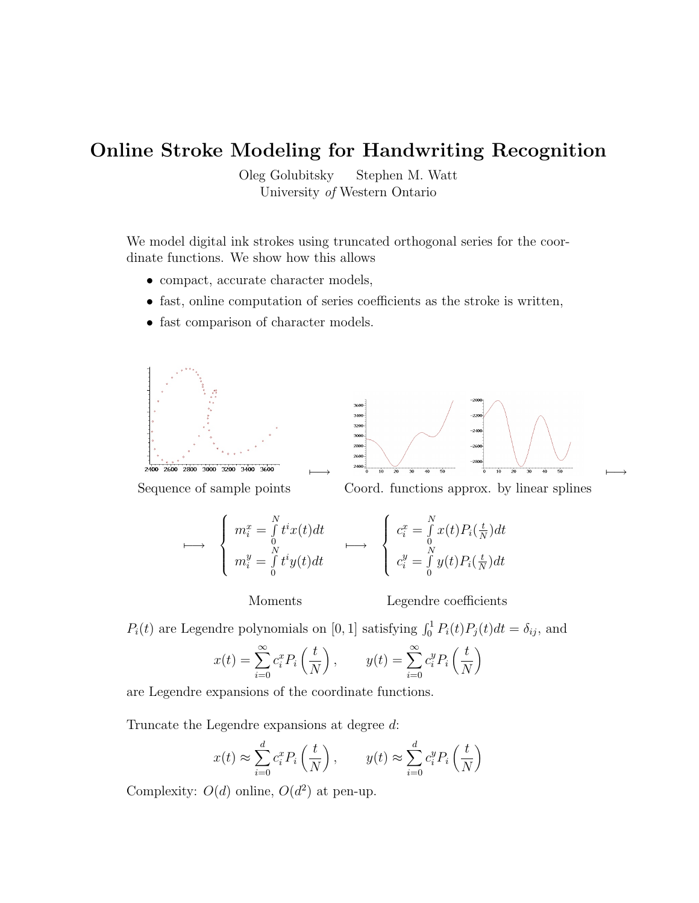## Online Stroke Modeling for Handwriting Recognition

Oleg Golubitsky Stephen M. Watt University of Western Ontario

We model digital ink strokes using truncated orthogonal series for the coordinate functions. We show how this allows

- compact, accurate character models,
- fast, online computation of series coefficients as the stroke is written,
- fast comparison of character models.







$$
\longmapsto \begin{cases} m_i^x = \int_0^N t^i x(t) dt \\ m_i^y = \int_0^N t^i y(t) dt \end{cases} \longmapsto \begin{cases} c_i^x = \int_0^N x(t) P_i(\frac{t}{N}) dt \\ c_i^y = \int_0^N y(t) P_i(\frac{t}{N}) dt \end{cases}
$$

Moments Legendre coefficients

 $P_i(t)$  are Legendre polynomials on [0, 1] satisfying  $\int_0^1 P_i(t)P_j(t)dt = \delta_{ij}$ , and

$$
x(t) = \sum_{i=0}^{\infty} c_i^x P_i\left(\frac{t}{N}\right), \qquad y(t) = \sum_{i=0}^{\infty} c_i^y P_i\left(\frac{t}{N}\right)
$$

are Legendre expansions of the coordinate functions.

Truncate the Legendre expansions at degree d:

$$
x(t) \approx \sum_{i=0}^{d} c_i^x P_i\left(\frac{t}{N}\right), \qquad y(t) \approx \sum_{i=0}^{d} c_i^y P_i\left(\frac{t}{N}\right)
$$

Complexity:  $O(d)$  online,  $O(d^2)$  at pen-up.